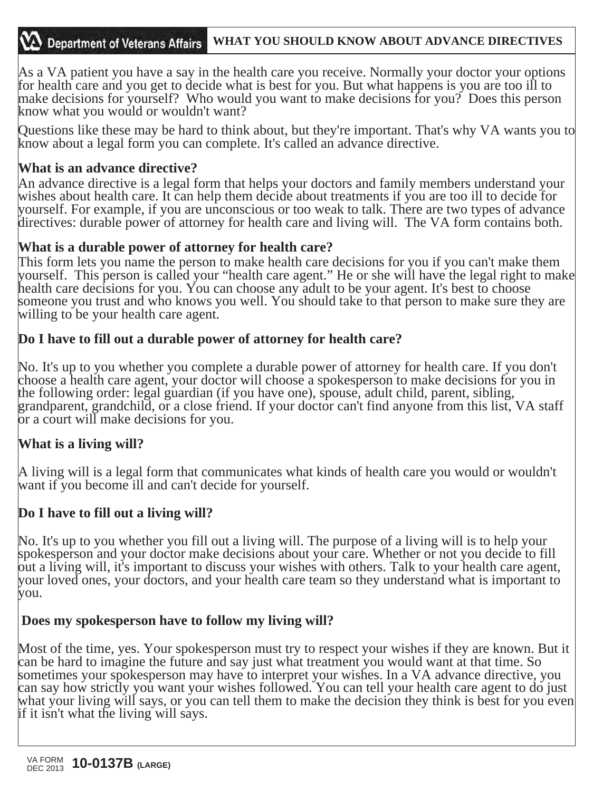$\overline{\phantom{a}}$ As a VA patient you have a say in the health care you receive. Normally your doctor your options for health care and you get to decide what is best for you. But what happens is you are too ill to make decisions for yourself? Who would you want to make decisions for you? Does this person know what you would or wouldn't want?

Questions like these may be hard to think about, but they're important. That's why VA wants you to know about a legal form you can complete. It's called an advance directive.

## **What is an advance directive?**

An advance directive is a legal form that helps your doctors and family members understand your wishes about health care. It can help them decide about treatments if you are too ill to decide for yourself. For example, if you are unconscious or too weak to talk. There are two types of advance directives: durable power of attorney for health care and living will. The VA form contains both.

## **What is a durable power of attorney for health care?**

This form lets you name the person to make health care decisions for you if you can't make them yourself. This person is called your "health care agent." He or she will have the legal right to make health care decisions for you. You can choose any adult to be your agent. It's best to choose someone you trust and who knows you well. You should take to that person to make sure they are willing to be your health care agent.

#### $\overline{\phantom{a}}$ **Do I have to fill out a durable power of attorney for health care?**

No. It's up to you whether you complete a durable power of attorney for health care. If you don't choose a health care agent, your doctor will choose a spokesperson to make decisions for you in the following order: legal guardian (if you have one), spouse, adult child, parent, sibling, grandparent, grandchild, or a close friend. If your doctor can't find anyone from this list, VA staff or a court will make decisions for you.

### **What is a living will?**

A living will is a legal form that communicates what kinds of health care you would or wouldn't want if you become ill and can't decide for yourself.

### **Do I have to fill out a living will?**

No. It's up to you whether you fill out a living will. The purpose of a living will is to help your spokesperson and your doctor make decisions about your care. Whether or not you decide to fill out a living will, it's important to discuss your wishes with others. Talk to your health care agent, your loved ones, your doctors, and your health care team so they understand what is important to you.

### **Does my spokesperson have to follow my living will?**

Most of the time, yes. Your spokesperson must try to respect your wishes if they are known. But it can be hard to imagine the future and say just what treatment you would want at that time. So sometimes your spokesperson may have to interpret your wishes. In a VA advance directive, you can say how strictly you want your wishes followed. You can tell your health care agent to do just what your living will says, or you can tell them to make the decision they think is best for you even if it isn't what the living will says.